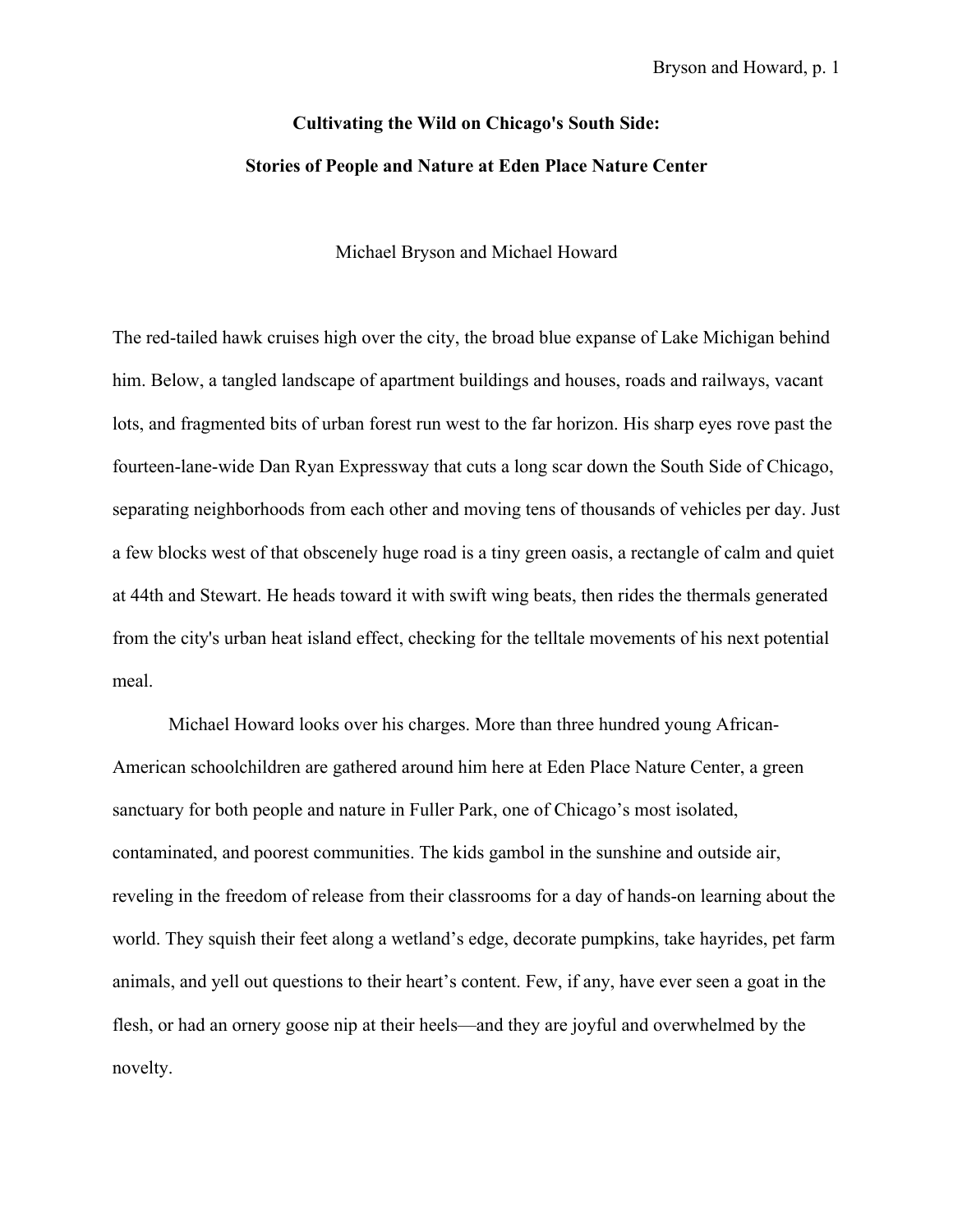## **Cultivating the Wild on Chicago's South Side: Stories of People and Nature at Eden Place Nature Center**

Michael Bryson and Michael Howard

The red-tailed hawk cruises high over the city, the broad blue expanse of Lake Michigan behind him. Below, a tangled landscape of apartment buildings and houses, roads and railways, vacant lots, and fragmented bits of urban forest run west to the far horizon. His sharp eyes rove past the fourteen-lane-wide Dan Ryan Expressway that cuts a long scar down the South Side of Chicago, separating neighborhoods from each other and moving tens of thousands of vehicles per day. Just a few blocks west of that obscenely huge road is a tiny green oasis, a rectangle of calm and quiet at 44th and Stewart. He heads toward it with swift wing beats, then rides the thermals generated from the city's urban heat island effect, checking for the telltale movements of his next potential meal.

Michael Howard looks over his charges. More than three hundred young African-American schoolchildren are gathered around him here at Eden Place Nature Center, a green sanctuary for both people and nature in Fuller Park, one of Chicago's most isolated, contaminated, and poorest communities. The kids gambol in the sunshine and outside air, reveling in the freedom of release from their classrooms for a day of hands-on learning about the world. They squish their feet along a wetland's edge, decorate pumpkins, take hayrides, pet farm animals, and yell out questions to their heart's content. Few, if any, have ever seen a goat in the flesh, or had an ornery goose nip at their heels—and they are joyful and overwhelmed by the novelty.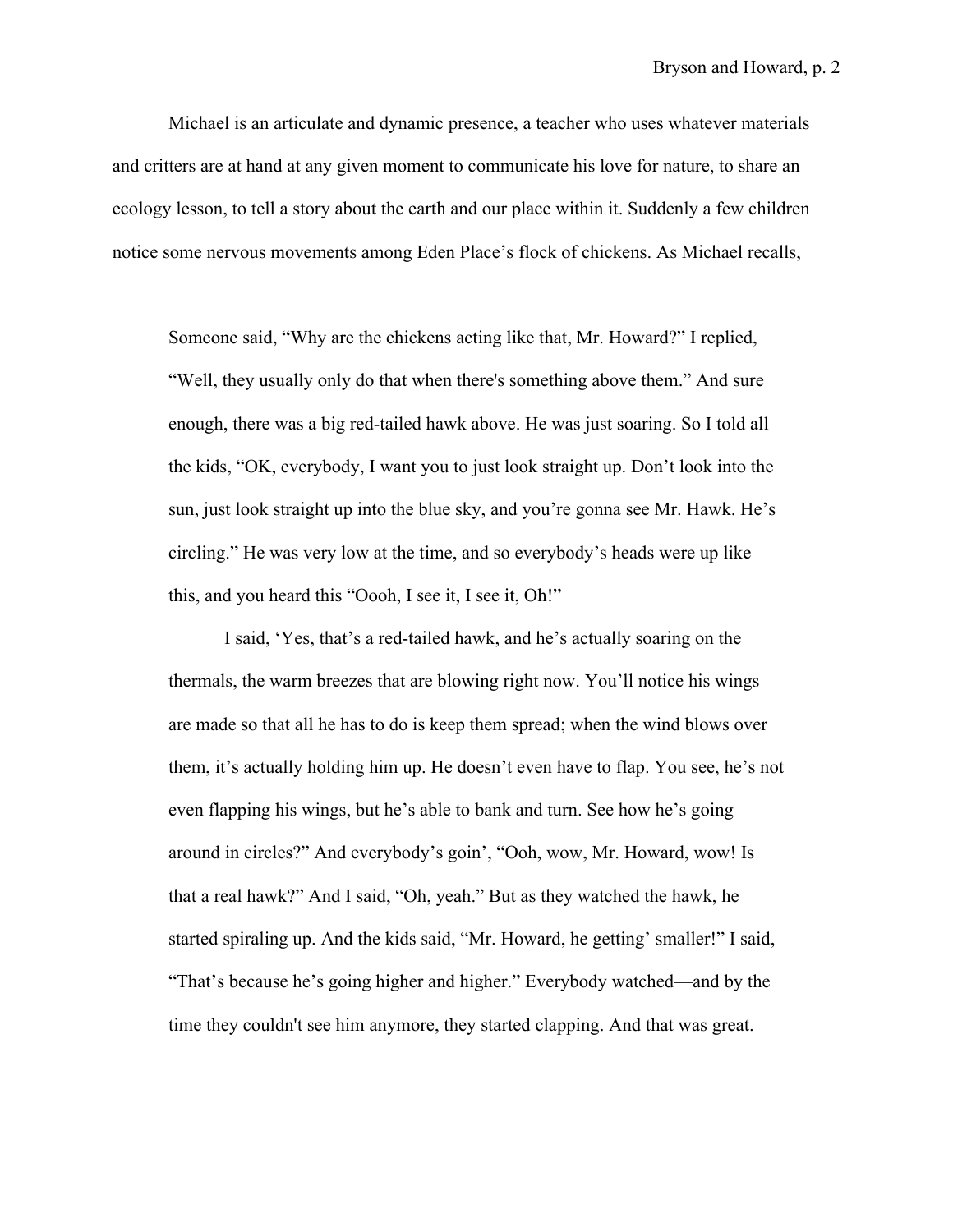Michael is an articulate and dynamic presence, a teacher who uses whatever materials and critters are at hand at any given moment to communicate his love for nature, to share an ecology lesson, to tell a story about the earth and our place within it. Suddenly a few children notice some nervous movements among Eden Place's flock of chickens. As Michael recalls,

Someone said, "Why are the chickens acting like that, Mr. Howard?" I replied, "Well, they usually only do that when there's something above them." And sure enough, there was a big red-tailed hawk above. He was just soaring. So I told all the kids, "OK, everybody, I want you to just look straight up. Don't look into the sun, just look straight up into the blue sky, and you're gonna see Mr. Hawk. He's circling." He was very low at the time, and so everybody's heads were up like this, and you heard this "Oooh, I see it, I see it, Oh!"

I said, 'Yes, that's a red-tailed hawk, and he's actually soaring on the thermals, the warm breezes that are blowing right now. You'll notice his wings are made so that all he has to do is keep them spread; when the wind blows over them, it's actually holding him up. He doesn't even have to flap. You see, he's not even flapping his wings, but he's able to bank and turn. See how he's going around in circles?" And everybody's goin', "Ooh, wow, Mr. Howard, wow! Is that a real hawk?" And I said, "Oh, yeah." But as they watched the hawk, he started spiraling up. And the kids said, "Mr. Howard, he getting' smaller!" I said, "That's because he's going higher and higher." Everybody watched—and by the time they couldn't see him anymore, they started clapping. And that was great.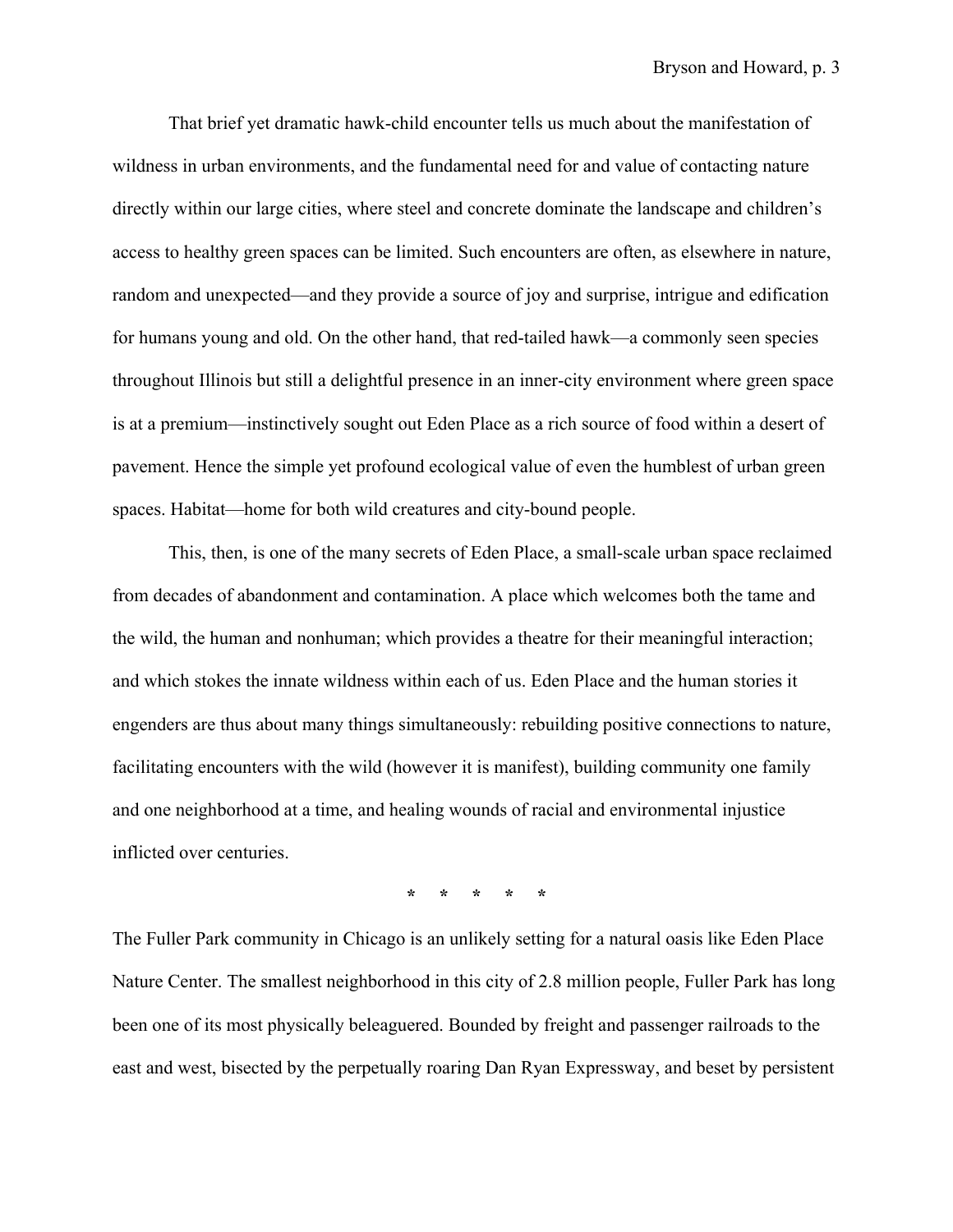That brief yet dramatic hawk-child encounter tells us much about the manifestation of wildness in urban environments, and the fundamental need for and value of contacting nature directly within our large cities, where steel and concrete dominate the landscape and children's access to healthy green spaces can be limited. Such encounters are often, as elsewhere in nature, random and unexpected—and they provide a source of joy and surprise, intrigue and edification for humans young and old. On the other hand, that red-tailed hawk—a commonly seen species throughout Illinois but still a delightful presence in an inner-city environment where green space is at a premium—instinctively sought out Eden Place as a rich source of food within a desert of pavement. Hence the simple yet profound ecological value of even the humblest of urban green spaces. Habitat—home for both wild creatures and city-bound people.

This, then, is one of the many secrets of Eden Place, a small-scale urban space reclaimed from decades of abandonment and contamination. A place which welcomes both the tame and the wild, the human and nonhuman; which provides a theatre for their meaningful interaction; and which stokes the innate wildness within each of us. Eden Place and the human stories it engenders are thus about many things simultaneously: rebuilding positive connections to nature, facilitating encounters with the wild (however it is manifest), building community one family and one neighborhood at a time, and healing wounds of racial and environmental injustice inflicted over centuries.

**\* \* \* \* \***

The Fuller Park community in Chicago is an unlikely setting for a natural oasis like Eden Place Nature Center. The smallest neighborhood in this city of 2.8 million people, Fuller Park has long been one of its most physically beleaguered. Bounded by freight and passenger railroads to the east and west, bisected by the perpetually roaring Dan Ryan Expressway, and beset by persistent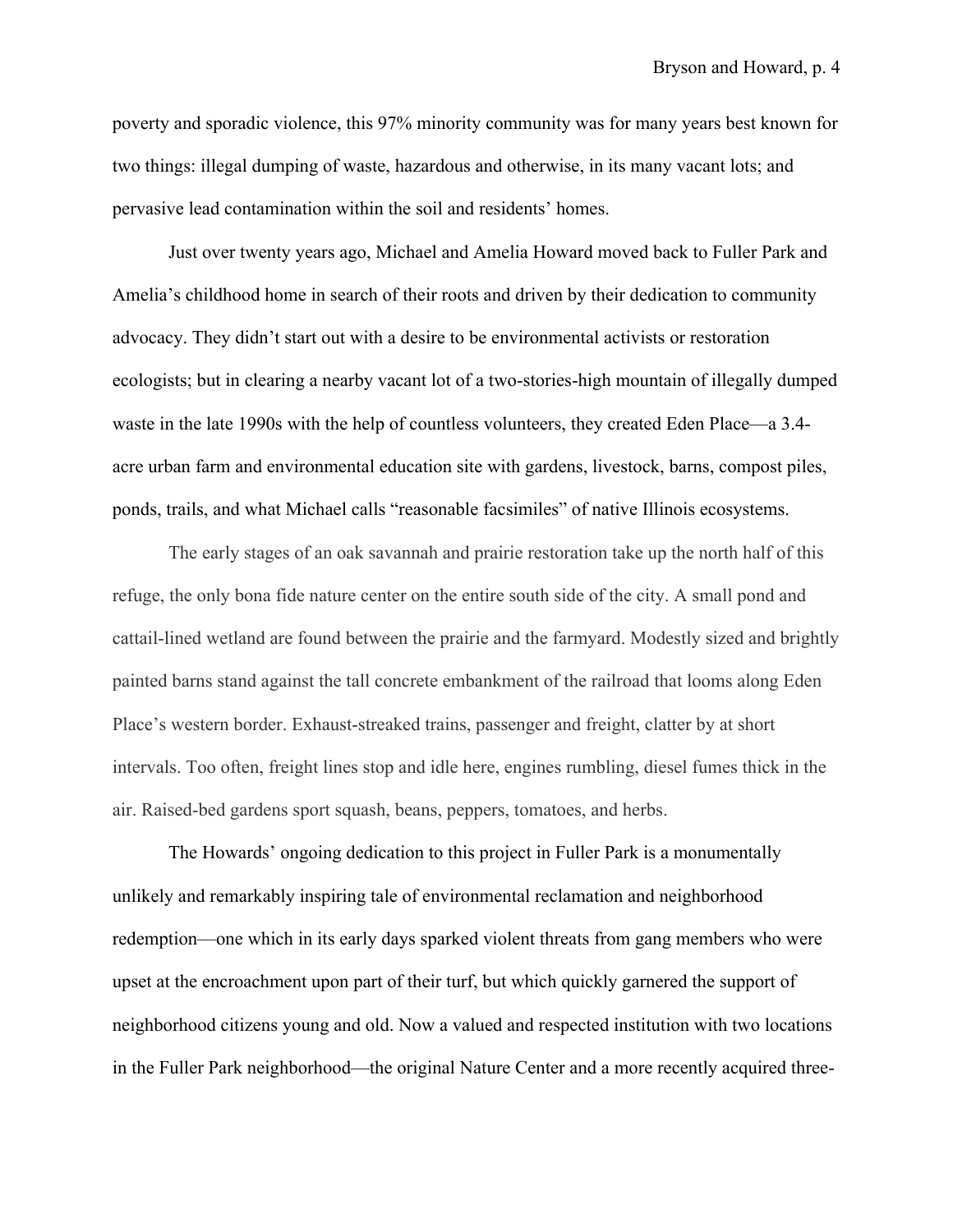poverty and sporadic violence, this 97% minority community was for many years best known for two things: illegal dumping of waste, hazardous and otherwise, in its many vacant lots; and pervasive lead contamination within the soil and residents' homes.

Just over twenty years ago, Michael and Amelia Howard moved back to Fuller Park and Amelia's childhood home in search of their roots and driven by their dedication to community advocacy. They didn't start out with a desire to be environmental activists or restoration ecologists; but in clearing a nearby vacant lot of a two-stories-high mountain of illegally dumped waste in the late 1990s with the help of countless volunteers, they created Eden Place—a 3.4 acre urban farm and environmental education site with gardens, livestock, barns, compost piles, ponds, trails, and what Michael calls "reasonable facsimiles" of native Illinois ecosystems.

The early stages of an oak savannah and prairie restoration take up the north half of this refuge, the only bona fide nature center on the entire south side of the city. A small pond and cattail-lined wetland are found between the prairie and the farmyard. Modestly sized and brightly painted barns stand against the tall concrete embankment of the railroad that looms along Eden Place's western border. Exhaust-streaked trains, passenger and freight, clatter by at short intervals. Too often, freight lines stop and idle here, engines rumbling, diesel fumes thick in the air. Raised-bed gardens sport squash, beans, peppers, tomatoes, and herbs.

The Howards' ongoing dedication to this project in Fuller Park is a monumentally unlikely and remarkably inspiring tale of environmental reclamation and neighborhood redemption—one which in its early days sparked violent threats from gang members who were upset at the encroachment upon part of their turf, but which quickly garnered the support of neighborhood citizens young and old. Now a valued and respected institution with two locations in the Fuller Park neighborhood—the original Nature Center and a more recently acquired three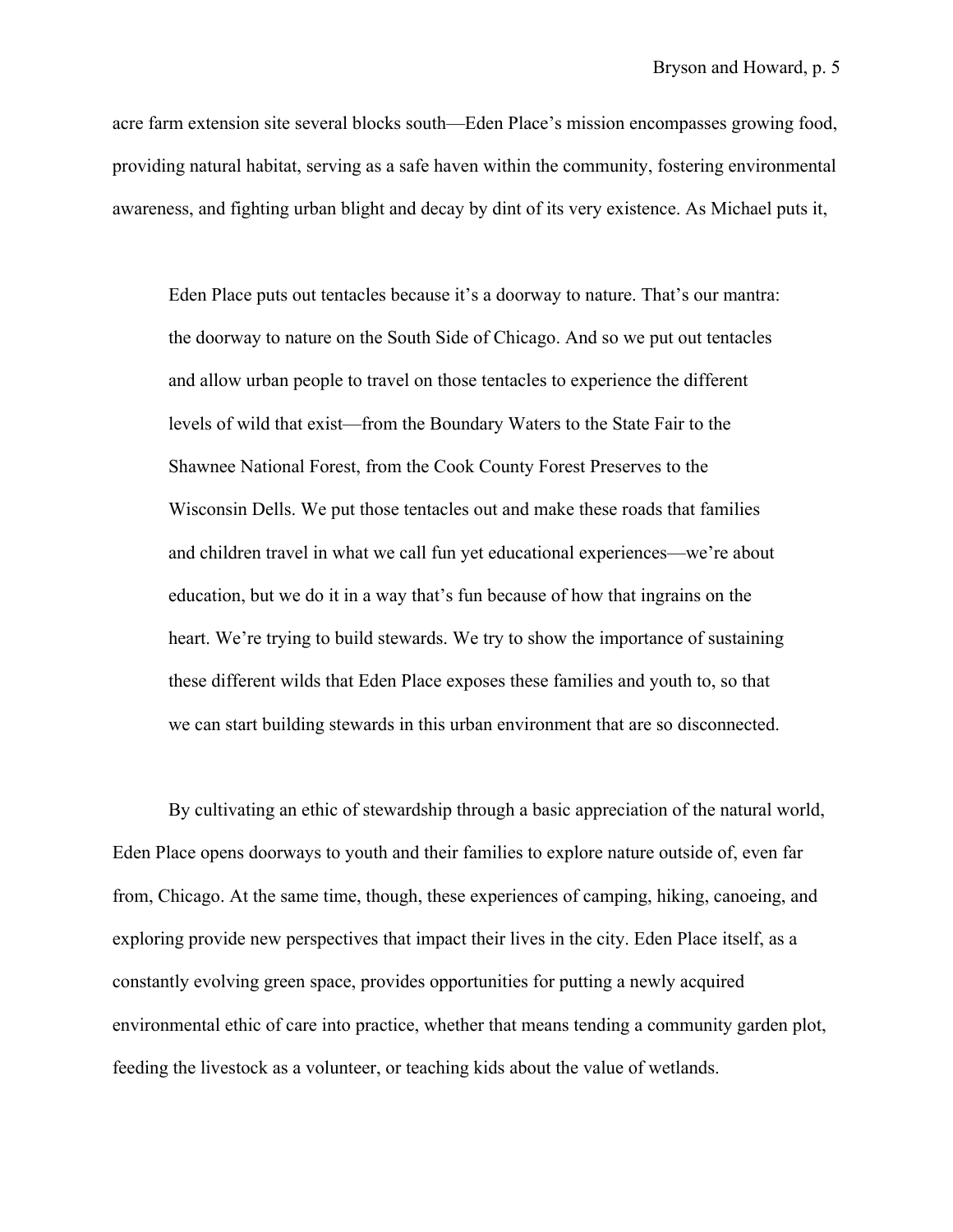acre farm extension site several blocks south—Eden Place's mission encompasses growing food, providing natural habitat, serving as a safe haven within the community, fostering environmental awareness, and fighting urban blight and decay by dint of its very existence. As Michael puts it,

Eden Place puts out tentacles because it's a doorway to nature. That's our mantra: the doorway to nature on the South Side of Chicago. And so we put out tentacles and allow urban people to travel on those tentacles to experience the different levels of wild that exist—from the Boundary Waters to the State Fair to the Shawnee National Forest, from the Cook County Forest Preserves to the Wisconsin Dells. We put those tentacles out and make these roads that families and children travel in what we call fun yet educational experiences—we're about education, but we do it in a way that's fun because of how that ingrains on the heart. We're trying to build stewards. We try to show the importance of sustaining these different wilds that Eden Place exposes these families and youth to, so that we can start building stewards in this urban environment that are so disconnected.

By cultivating an ethic of stewardship through a basic appreciation of the natural world, Eden Place opens doorways to youth and their families to explore nature outside of, even far from, Chicago. At the same time, though, these experiences of camping, hiking, canoeing, and exploring provide new perspectives that impact their lives in the city. Eden Place itself, as a constantly evolving green space, provides opportunities for putting a newly acquired environmental ethic of care into practice, whether that means tending a community garden plot, feeding the livestock as a volunteer, or teaching kids about the value of wetlands.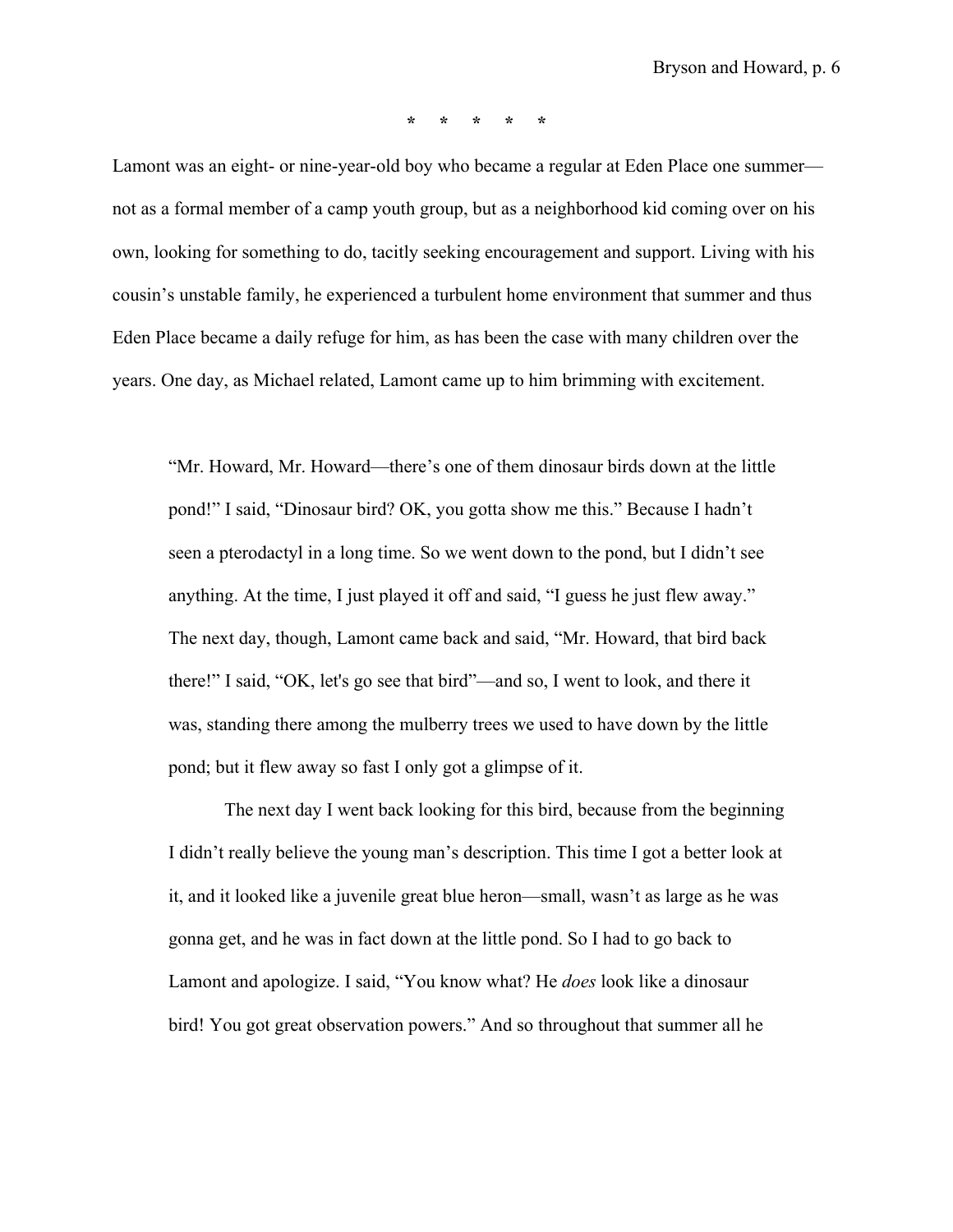**\* \* \* \* \***

Lamont was an eight- or nine-year-old boy who became a regular at Eden Place one summer not as a formal member of a camp youth group, but as a neighborhood kid coming over on his own, looking for something to do, tacitly seeking encouragement and support. Living with his cousin's unstable family, he experienced a turbulent home environment that summer and thus Eden Place became a daily refuge for him, as has been the case with many children over the years. One day, as Michael related, Lamont came up to him brimming with excitement.

"Mr. Howard, Mr. Howard—there's one of them dinosaur birds down at the little pond!" I said, "Dinosaur bird? OK, you gotta show me this." Because I hadn't seen a pterodactyl in a long time. So we went down to the pond, but I didn't see anything. At the time, I just played it off and said, "I guess he just flew away." The next day, though, Lamont came back and said, "Mr. Howard, that bird back there!" I said, "OK, let's go see that bird"—and so, I went to look, and there it was, standing there among the mulberry trees we used to have down by the little pond; but it flew away so fast I only got a glimpse of it.

The next day I went back looking for this bird, because from the beginning I didn't really believe the young man's description. This time I got a better look at it, and it looked like a juvenile great blue heron—small, wasn't as large as he was gonna get, and he was in fact down at the little pond. So I had to go back to Lamont and apologize. I said, "You know what? He *does* look like a dinosaur bird! You got great observation powers." And so throughout that summer all he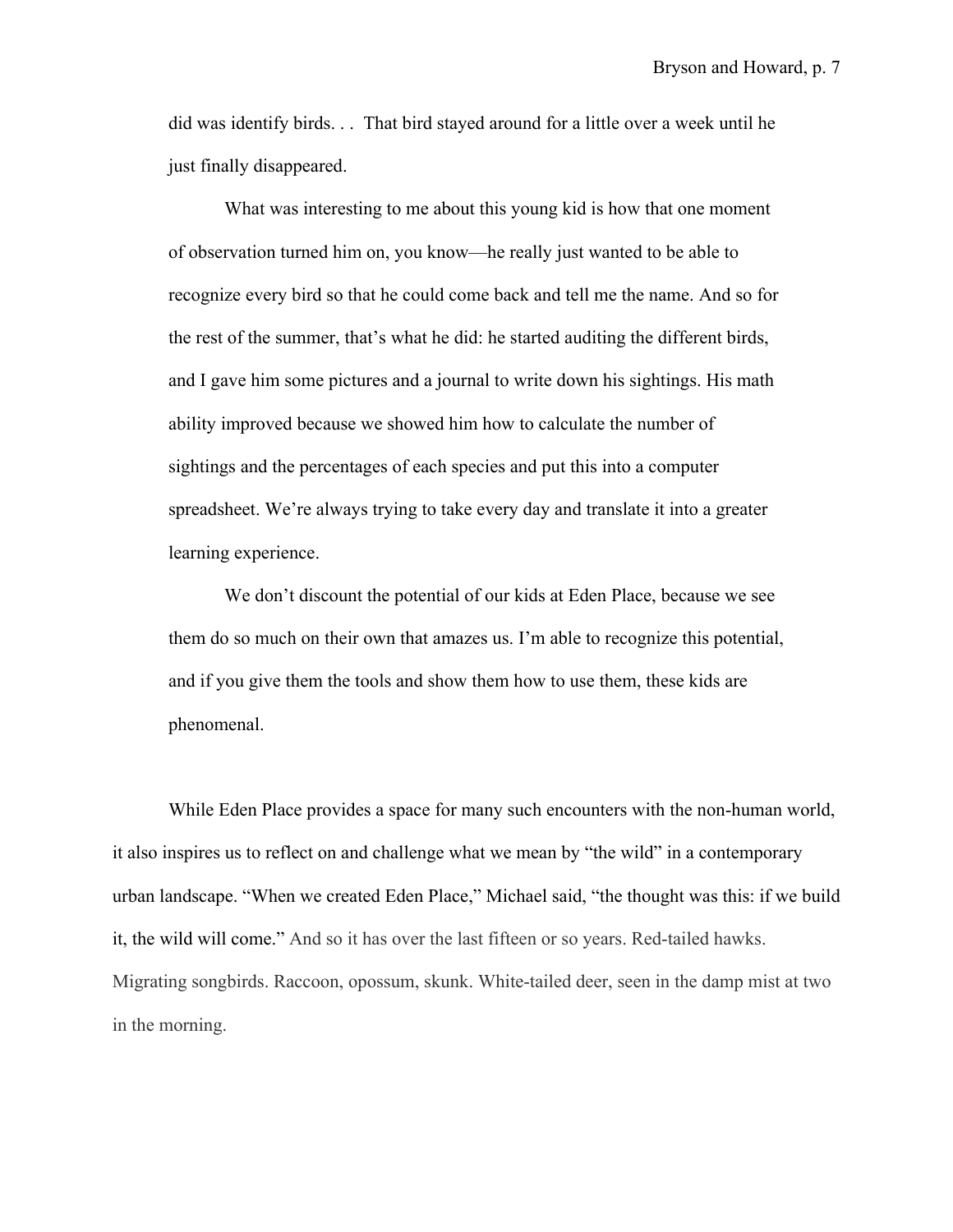did was identify birds. . . That bird stayed around for a little over a week until he just finally disappeared.

What was interesting to me about this young kid is how that one moment of observation turned him on, you know—he really just wanted to be able to recognize every bird so that he could come back and tell me the name. And so for the rest of the summer, that's what he did: he started auditing the different birds, and I gave him some pictures and a journal to write down his sightings. His math ability improved because we showed him how to calculate the number of sightings and the percentages of each species and put this into a computer spreadsheet. We're always trying to take every day and translate it into a greater learning experience.

We don't discount the potential of our kids at Eden Place, because we see them do so much on their own that amazes us. I'm able to recognize this potential, and if you give them the tools and show them how to use them, these kids are phenomenal.

While Eden Place provides a space for many such encounters with the non-human world, it also inspires us to reflect on and challenge what we mean by "the wild" in a contemporary urban landscape. "When we created Eden Place," Michael said, "the thought was this: if we build it, the wild will come." And so it has over the last fifteen or so years. Red-tailed hawks. Migrating songbirds. Raccoon, opossum, skunk. White-tailed deer, seen in the damp mist at two in the morning.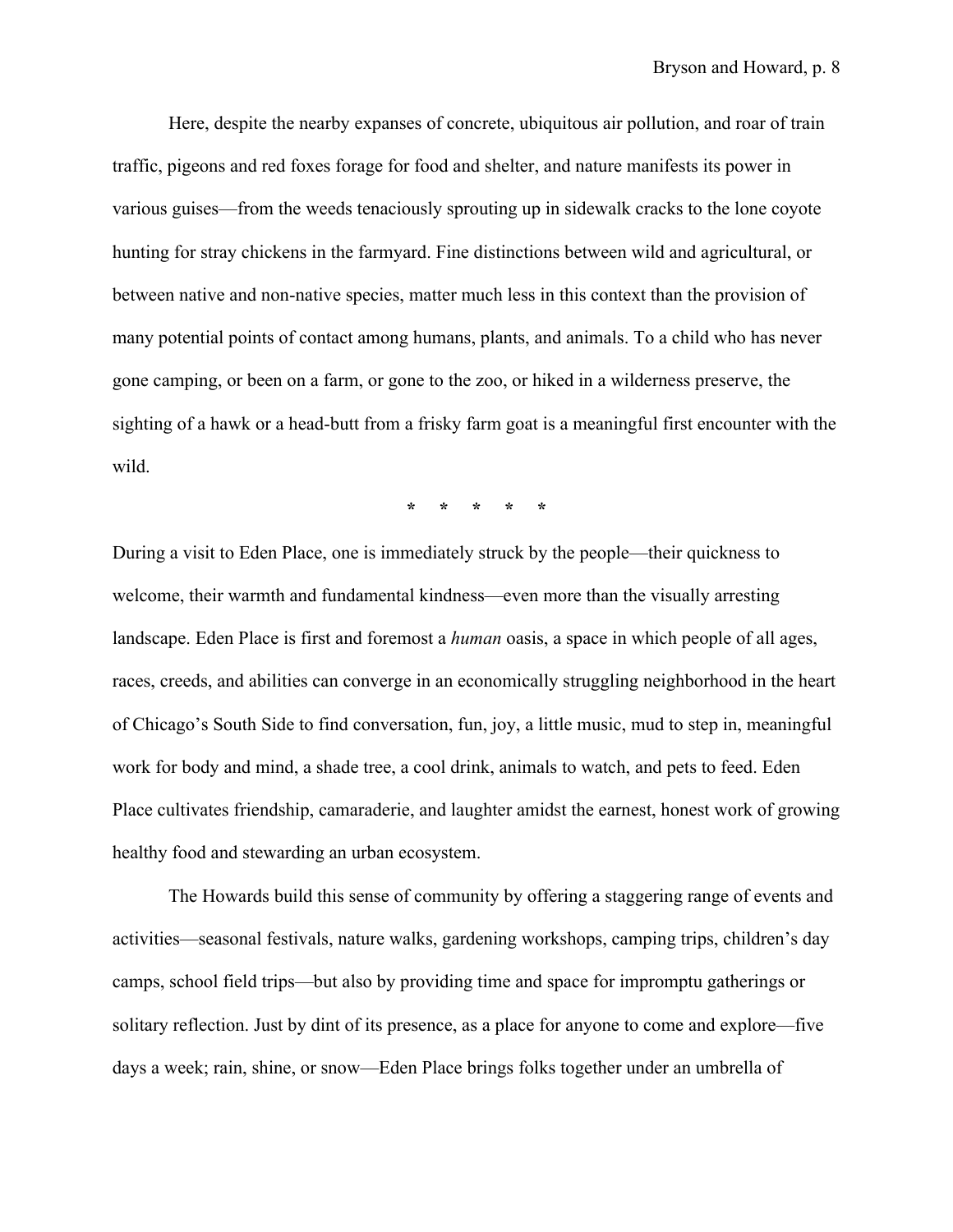Here, despite the nearby expanses of concrete, ubiquitous air pollution, and roar of train traffic, pigeons and red foxes forage for food and shelter, and nature manifests its power in various guises—from the weeds tenaciously sprouting up in sidewalk cracks to the lone coyote hunting for stray chickens in the farmyard. Fine distinctions between wild and agricultural, or between native and non-native species, matter much less in this context than the provision of many potential points of contact among humans, plants, and animals. To a child who has never gone camping, or been on a farm, or gone to the zoo, or hiked in a wilderness preserve, the sighting of a hawk or a head-butt from a frisky farm goat is a meaningful first encounter with the wild.

**\* \* \* \* \***

During a visit to Eden Place, one is immediately struck by the people—their quickness to welcome, their warmth and fundamental kindness—even more than the visually arresting landscape. Eden Place is first and foremost a *human* oasis, a space in which people of all ages, races, creeds, and abilities can converge in an economically struggling neighborhood in the heart of Chicago's South Side to find conversation, fun, joy, a little music, mud to step in, meaningful work for body and mind, a shade tree, a cool drink, animals to watch, and pets to feed. Eden Place cultivates friendship, camaraderie, and laughter amidst the earnest, honest work of growing healthy food and stewarding an urban ecosystem.

The Howards build this sense of community by offering a staggering range of events and activities—seasonal festivals, nature walks, gardening workshops, camping trips, children's day camps, school field trips—but also by providing time and space for impromptu gatherings or solitary reflection. Just by dint of its presence, as a place for anyone to come and explore—five days a week; rain, shine, or snow—Eden Place brings folks together under an umbrella of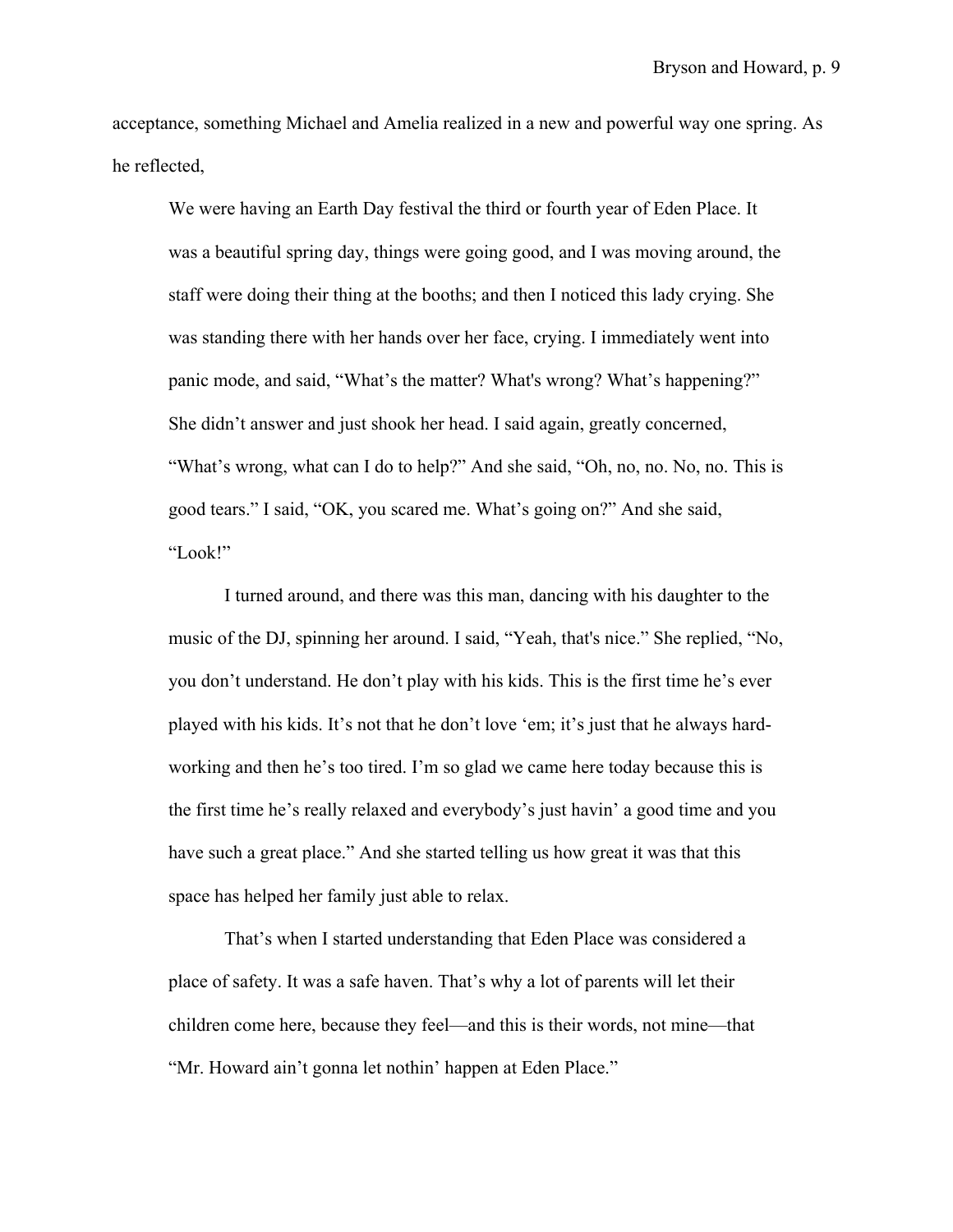acceptance, something Michael and Amelia realized in a new and powerful way one spring. As he reflected,

We were having an Earth Day festival the third or fourth year of Eden Place. It was a beautiful spring day, things were going good, and I was moving around, the staff were doing their thing at the booths; and then I noticed this lady crying. She was standing there with her hands over her face, crying. I immediately went into panic mode, and said, "What's the matter? What's wrong? What's happening?" She didn't answer and just shook her head. I said again, greatly concerned, "What's wrong, what can I do to help?" And she said, "Oh, no, no. No, no. This is good tears." I said, "OK, you scared me. What's going on?" And she said, "Look!"

I turned around, and there was this man, dancing with his daughter to the music of the DJ, spinning her around. I said, "Yeah, that's nice." She replied, "No, you don't understand. He don't play with his kids. This is the first time he's ever played with his kids. It's not that he don't love 'em; it's just that he always hardworking and then he's too tired. I'm so glad we came here today because this is the first time he's really relaxed and everybody's just havin' a good time and you have such a great place." And she started telling us how great it was that this space has helped her family just able to relax.

That's when I started understanding that Eden Place was considered a place of safety. It was a safe haven. That's why a lot of parents will let their children come here, because they feel—and this is their words, not mine—that "Mr. Howard ain't gonna let nothin' happen at Eden Place."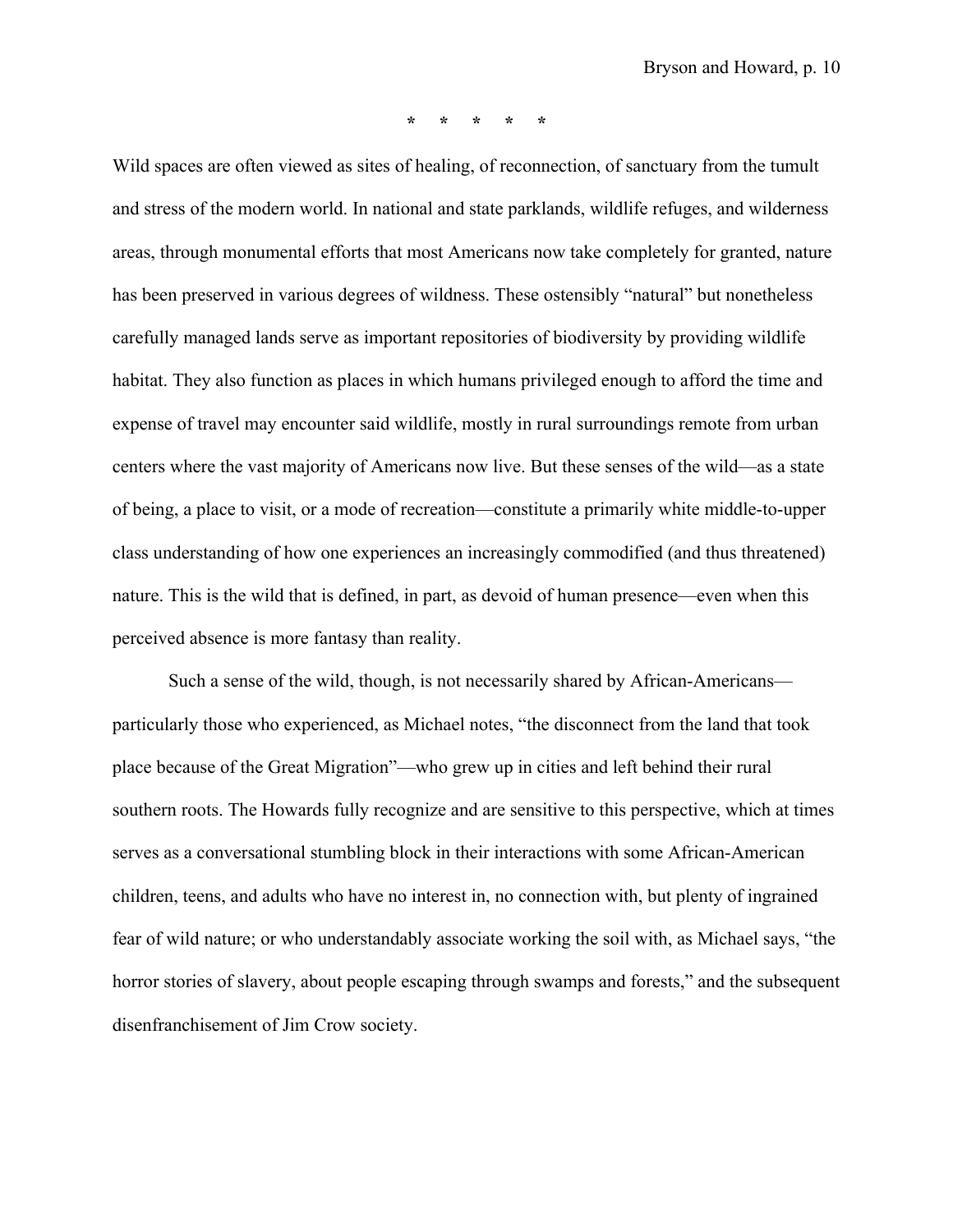**\* \* \* \* \***

Wild spaces are often viewed as sites of healing, of reconnection, of sanctuary from the tumult and stress of the modern world. In national and state parklands, wildlife refuges, and wilderness areas, through monumental efforts that most Americans now take completely for granted, nature has been preserved in various degrees of wildness. These ostensibly "natural" but nonetheless carefully managed lands serve as important repositories of biodiversity by providing wildlife habitat. They also function as places in which humans privileged enough to afford the time and expense of travel may encounter said wildlife, mostly in rural surroundings remote from urban centers where the vast majority of Americans now live. But these senses of the wild—as a state of being, a place to visit, or a mode of recreation—constitute a primarily white middle-to-upper class understanding of how one experiences an increasingly commodified (and thus threatened) nature. This is the wild that is defined, in part, as devoid of human presence—even when this perceived absence is more fantasy than reality.

Such a sense of the wild, though, is not necessarily shared by African-Americans particularly those who experienced, as Michael notes, "the disconnect from the land that took place because of the Great Migration"—who grew up in cities and left behind their rural southern roots. The Howards fully recognize and are sensitive to this perspective, which at times serves as a conversational stumbling block in their interactions with some African-American children, teens, and adults who have no interest in, no connection with, but plenty of ingrained fear of wild nature; or who understandably associate working the soil with, as Michael says, "the horror stories of slavery, about people escaping through swamps and forests," and the subsequent disenfranchisement of Jim Crow society.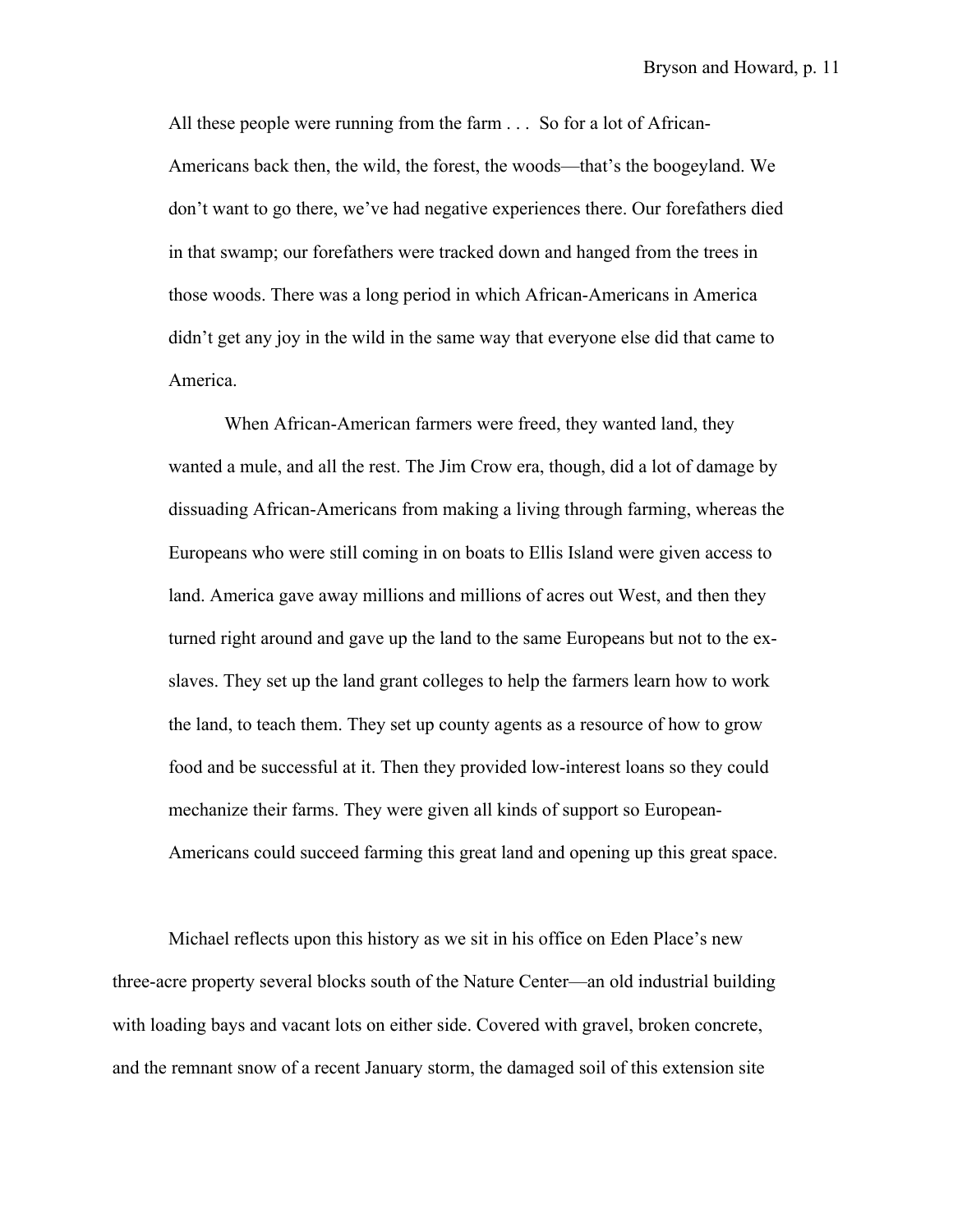All these people were running from the farm . . . So for a lot of African-Americans back then, the wild, the forest, the woods—that's the boogeyland. We don't want to go there, we've had negative experiences there. Our forefathers died in that swamp; our forefathers were tracked down and hanged from the trees in those woods. There was a long period in which African-Americans in America didn't get any joy in the wild in the same way that everyone else did that came to America.

When African-American farmers were freed, they wanted land, they wanted a mule, and all the rest. The Jim Crow era, though, did a lot of damage by dissuading African-Americans from making a living through farming, whereas the Europeans who were still coming in on boats to Ellis Island were given access to land. America gave away millions and millions of acres out West, and then they turned right around and gave up the land to the same Europeans but not to the exslaves. They set up the land grant colleges to help the farmers learn how to work the land, to teach them. They set up county agents as a resource of how to grow food and be successful at it. Then they provided low-interest loans so they could mechanize their farms. They were given all kinds of support so European-Americans could succeed farming this great land and opening up this great space.

Michael reflects upon this history as we sit in his office on Eden Place's new three-acre property several blocks south of the Nature Center—an old industrial building with loading bays and vacant lots on either side. Covered with gravel, broken concrete, and the remnant snow of a recent January storm, the damaged soil of this extension site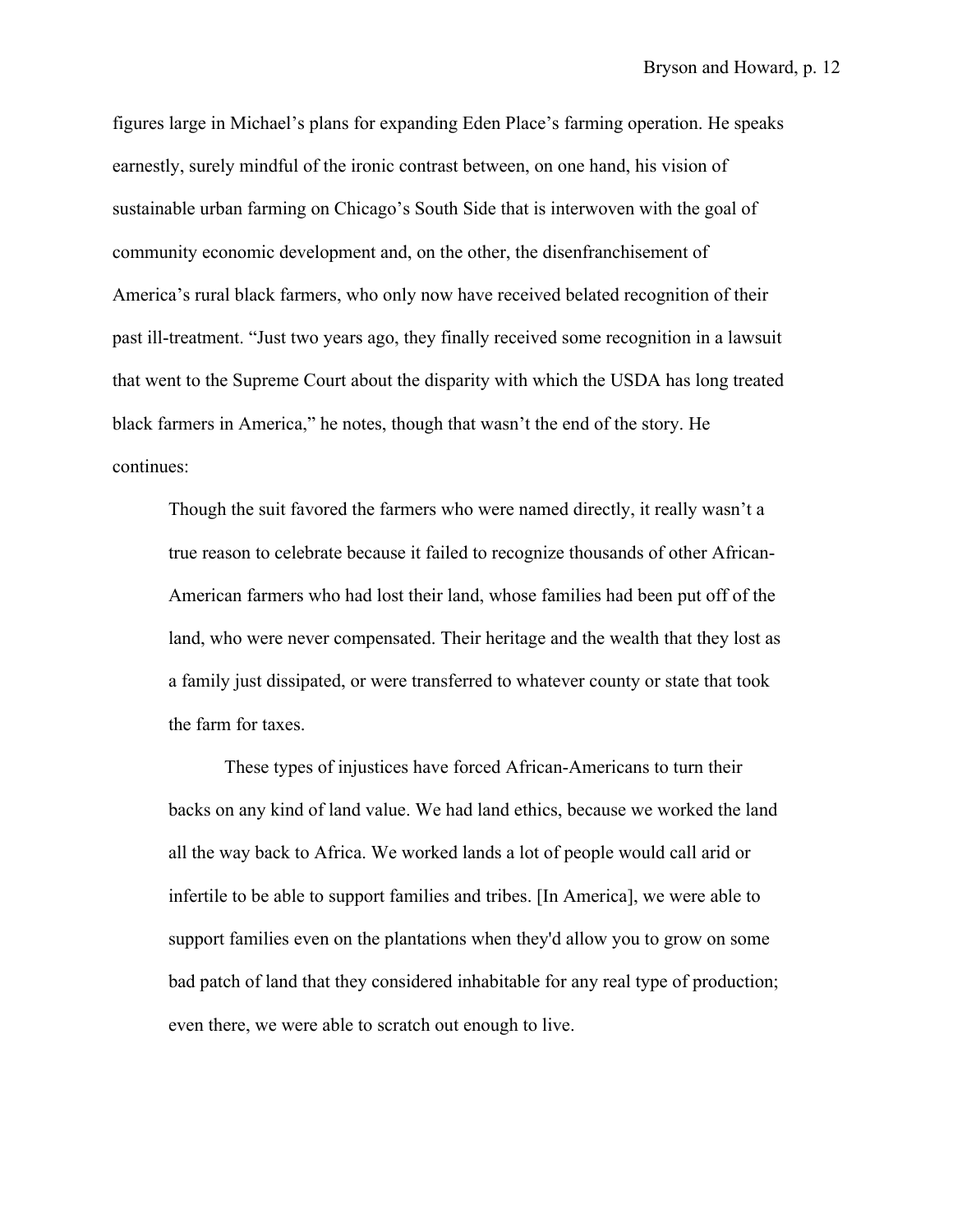figures large in Michael's plans for expanding Eden Place's farming operation. He speaks earnestly, surely mindful of the ironic contrast between, on one hand, his vision of sustainable urban farming on Chicago's South Side that is interwoven with the goal of community economic development and, on the other, the disenfranchisement of America's rural black farmers, who only now have received belated recognition of their past ill-treatment. "Just two years ago, they finally received some recognition in a lawsuit that went to the Supreme Court about the disparity with which the USDA has long treated black farmers in America," he notes, though that wasn't the end of the story. He continues:

Though the suit favored the farmers who were named directly, it really wasn't a true reason to celebrate because it failed to recognize thousands of other African-American farmers who had lost their land, whose families had been put off of the land, who were never compensated. Their heritage and the wealth that they lost as a family just dissipated, or were transferred to whatever county or state that took the farm for taxes.

These types of injustices have forced African-Americans to turn their backs on any kind of land value. We had land ethics, because we worked the land all the way back to Africa. We worked lands a lot of people would call arid or infertile to be able to support families and tribes. [In America], we were able to support families even on the plantations when they'd allow you to grow on some bad patch of land that they considered inhabitable for any real type of production; even there, we were able to scratch out enough to live.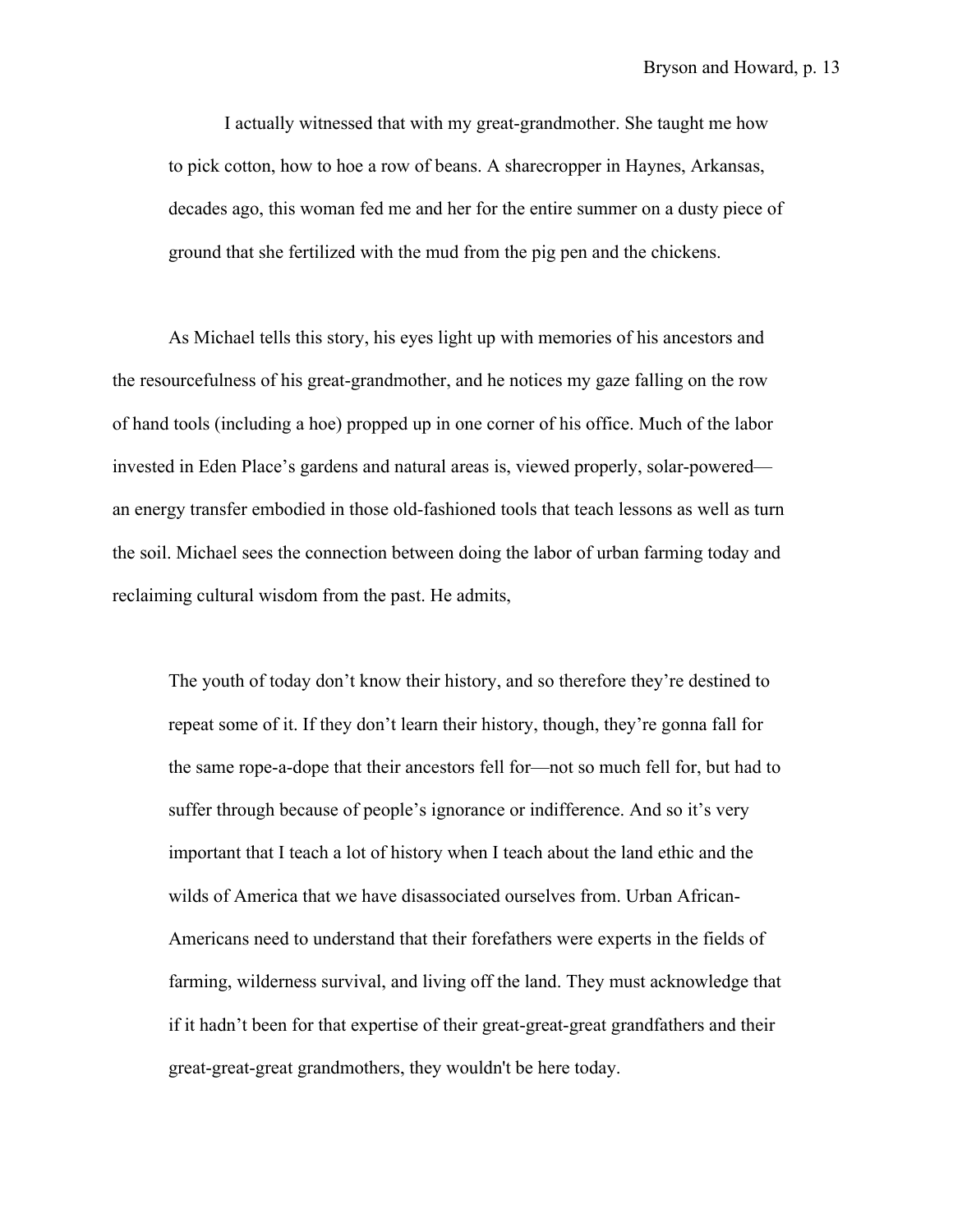I actually witnessed that with my great-grandmother. She taught me how to pick cotton, how to hoe a row of beans. A sharecropper in Haynes, Arkansas, decades ago, this woman fed me and her for the entire summer on a dusty piece of ground that she fertilized with the mud from the pig pen and the chickens.

As Michael tells this story, his eyes light up with memories of his ancestors and the resourcefulness of his great-grandmother, and he notices my gaze falling on the row of hand tools (including a hoe) propped up in one corner of his office. Much of the labor invested in Eden Place's gardens and natural areas is, viewed properly, solar-powered an energy transfer embodied in those old-fashioned tools that teach lessons as well as turn the soil. Michael sees the connection between doing the labor of urban farming today and reclaiming cultural wisdom from the past. He admits,

The youth of today don't know their history, and so therefore they're destined to repeat some of it. If they don't learn their history, though, they're gonna fall for the same rope-a-dope that their ancestors fell for—not so much fell for, but had to suffer through because of people's ignorance or indifference. And so it's very important that I teach a lot of history when I teach about the land ethic and the wilds of America that we have disassociated ourselves from. Urban African-Americans need to understand that their forefathers were experts in the fields of farming, wilderness survival, and living off the land. They must acknowledge that if it hadn't been for that expertise of their great-great-great grandfathers and their great-great-great grandmothers, they wouldn't be here today.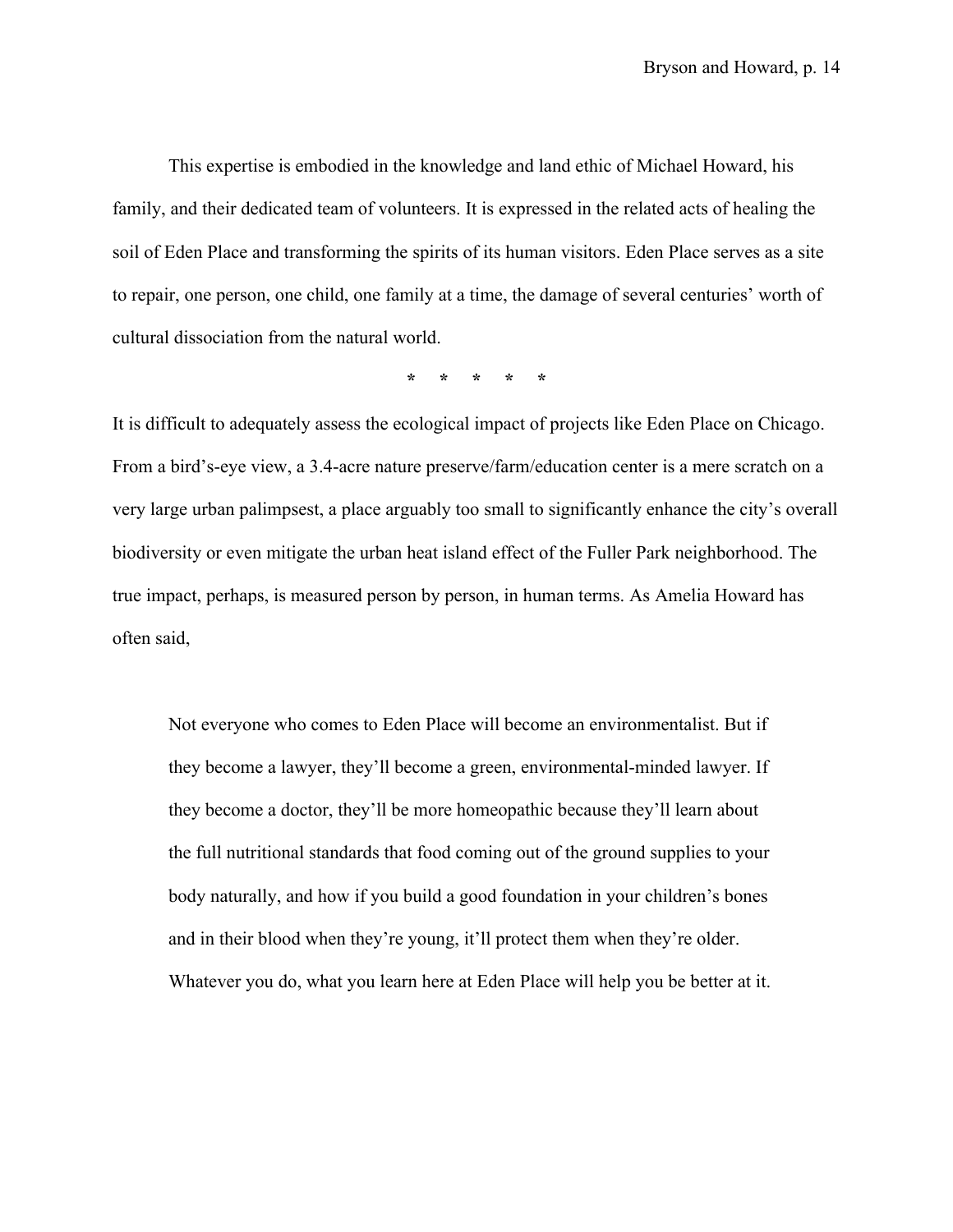This expertise is embodied in the knowledge and land ethic of Michael Howard, his family, and their dedicated team of volunteers. It is expressed in the related acts of healing the soil of Eden Place and transforming the spirits of its human visitors. Eden Place serves as a site to repair, one person, one child, one family at a time, the damage of several centuries' worth of cultural dissociation from the natural world.

**\* \* \* \* \***

It is difficult to adequately assess the ecological impact of projects like Eden Place on Chicago. From a bird's-eye view, a 3.4-acre nature preserve/farm/education center is a mere scratch on a very large urban palimpsest, a place arguably too small to significantly enhance the city's overall biodiversity or even mitigate the urban heat island effect of the Fuller Park neighborhood. The true impact, perhaps, is measured person by person, in human terms. As Amelia Howard has often said,

Not everyone who comes to Eden Place will become an environmentalist. But if they become a lawyer, they'll become a green, environmental-minded lawyer. If they become a doctor, they'll be more homeopathic because they'll learn about the full nutritional standards that food coming out of the ground supplies to your body naturally, and how if you build a good foundation in your children's bones and in their blood when they're young, it'll protect them when they're older. Whatever you do, what you learn here at Eden Place will help you be better at it.